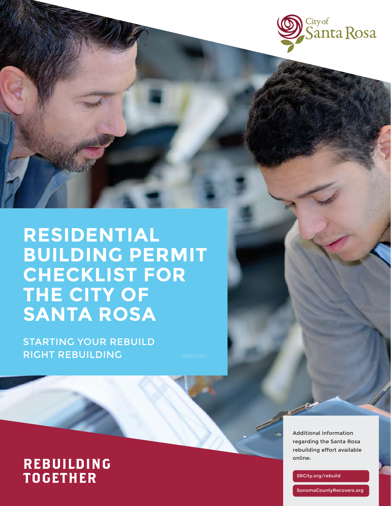

# **RESIDENTIAL BUILDING PERMIT CHECKLIST FOR THE CITY OF SANTA ROSA**

STARTING YOUR REBUILD **RIGHT REBUILDING** VERSION 1

## **REBUILDING TOGETHER**

Additional information regarding the Santa Rosa rebuilding effort available online:

SRCity.org/rebuild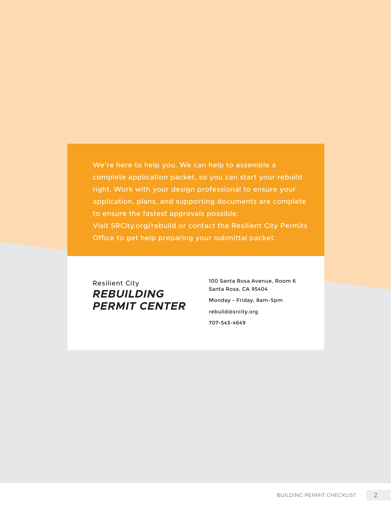We're here to help you. We can help to assemble a complete application packet, so you can start your rebuild right. Work with your design professional to ensure your application, plans, and supporting documents are complete to ensure the fastest approvals possible. Visit SRCity.org/rebuild or contact the Resilient City Permits Office to get help preparing your submittal packet.

Resilient City *REBUILDING PERMIT CENTER* 100 Santa Rosa Avenue, Room 6 Santa Rosa, CA 95404 Monday - Friday, 8am-5pm rebuild@srcity.org 707-543-4649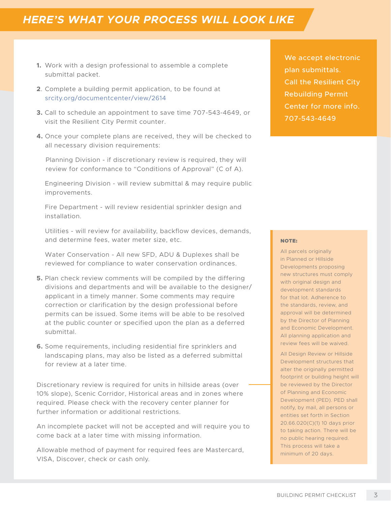## *HERE'S WHAT YOUR PROCESS WILL LOOK LIKE*

- **1.** Work with a design professional to assemble a complete submittal packet.
- **2**. Complete a building permit application, to be found at srcity.org/documentcenter/view/2614
- **3.** Call to schedule an appointment to save time 707-543-4649, or visit the Resilient City Permit counter.
- **4.** Once your complete plans are received, they will be checked to all necessary division requirements:

 Planning Division - if discretionary review is required, they will review for conformance to "Conditions of Approval" (C of A).

 Engineering Division - will review submittal & may require public improvements.

 Fire Department - will review residential sprinkler design and installation.

 Utilities - will review for availability, backflow devices, demands, and determine fees, water meter size, etc.

 Water Conservation - All new SFD, ADU & Duplexes shall be reviewed for compliance to water conservation ordinances.

- **5.** Plan check review comments will be compiled by the differing divisions and departments and will be available to the designer/ applicant in a timely manner. Some comments may require correction or clarification by the design professional before permits can be issued. Some items will be able to be resolved at the public counter or specified upon the plan as a deferred submittal.
- **6.** Some requirements, including residential fire sprinklers and landscaping plans, may also be listed as a deferred submittal for review at a later time.

Discretionary review is required for units in hillside areas (over 10% slope), Scenic Corridor, Historical areas and in zones where required. Please check with the recovery center planner for further information or additional restrictions.

An incomplete packet will not be accepted and will require you to come back at a later time with missing information.

Allowable method of payment for required fees are Mastercard, VISA, Discover, check or cash only.

We accept electronic plan submittals. Call the Resilient City Rebuilding Permit Center for more info. 707-543-4649

#### NOTE:

All parcels originally in Planned or Hillside Developments proposing new structures must comply with original design and development standards for that lot. Adherence to the standards, review, and approval will be determined by the Director of Planning and Economic Development. All planning application and review fees will be waived.

All Design Review or Hillside Development structures that alter the originally permitted footprint or building height will be reviewed by the Director of Planning and Economic Development (PED). PED shall notify, by mail, all persons or entities set forth in Section 20.66.020(C)(1) 10 days prior to taking action. There will be no public hearing required. This process will take a minimum of 20 days.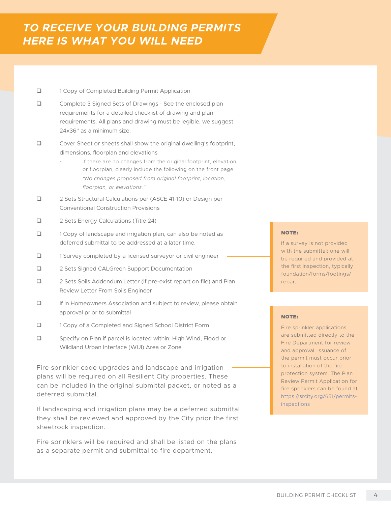- 1 Copy of Completed Building Permit Application
- Complete 3 Signed Sets of Drawings See the enclosed plan requirements for a detailed checklist of drawing and plan requirements. All plans and drawing must be legible, we suggest 24x36" as a minimum size.
- □ Cover Sheet or sheets shall show the original dwelling's footprint, dimensions, floorplan and elevations
	- If there are no changes from the original footprint, elevation, or floorplan, clearly include the following on the front page: *"No changes proposed from original footprint, location, floorplan, or elevations."*
- □ 2 Sets Structural Calculations per (ASCE 41-10) or Design per Conventional Construction Provisions
- □ 2 Sets Energy Calculations (Title 24)
- 1 Copy of landscape and irrigation plan, can also be noted as deferred submittal to be addressed at a later time.
- □ 1 Survey completed by a licensed surveyor or civil engineer
- □ 2 Sets Signed CALGreen Support Documentation
- □ 2 Sets Soils Addendum Letter (if pre-exist report on file) and Plan Review Letter From Soils Engineer
- If in Homeowners Association and subject to review, please obtain approval prior to submittal
- □ 1 Copy of a Completed and Signed School District Form
- □ Specify on Plan if parcel is located within: High Wind, Flood or Wildland Urban Interface (WUI) Area or Zone

Fire sprinkler code upgrades and landscape and irrigation plans will be required on all Resilient City properties. These can be included in the original submittal packet, or noted as a deferred submittal.

If landscaping and irrigation plans may be a deferred submittal they shall be reviewed and approved by the City prior the first sheetrock inspection.

Fire sprinklers will be required and shall be listed on the plans as a separate permit and submittal to fire department.

#### NOTE:

If a survey is not provided with the submittal; one will be required and provided at the first inspection, typically foundation/forms/footings/ rebar.

#### NOTE:

Fire sprinkler applications are submitted directly to the Fire Department for review and approval. Issuance of the permit must occur prior to installation of the fire protection system. The Plan Review Permit Application for fire sprinklers can be found at https://srcity.org/651/permits**inspections**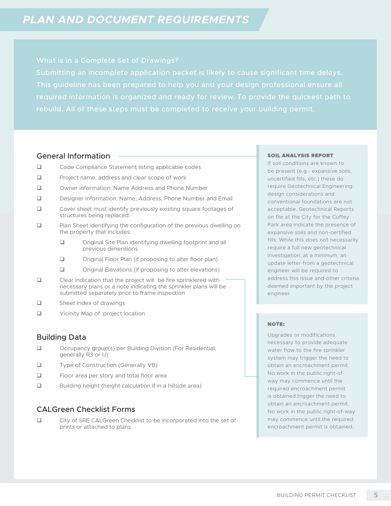This guideline has been prepared to help you and your design professional ensure all rebuild. All of these steps must be completed to receive your building permit.

## General Information

- □ Code Compliance Statement listing applicable codes
- $\Box$  Project name, address and clear scope of work
- Owner information: Name Address and Phone Number
- Designer Information: Name, Address, Phone Number and Email
- Cover sheet must identify previously existing square footages of structures being replaced
- **Q** Plan Sheet identifying the configuration of the previous dwelling on the property that includes:
	- Original Site Plan identifying dwelling footprint and all previous dimensions
	- $\Box$  Original Floor Plan (if proposing to alter floor plan)
	- Original Elevations (if proposing to alter elevations)
- Clear indication that the project will be fire sprinklered with necessary plans or a note indicating the sprinkler plans will be submitted separately prior to frame inspection
- Sheet Index of drawings
- □ Vicinity Map of project location

## Building Data

- Occupancy group(s) per Building Division (For Residential, generally R3 or U)
- Type of Construction (Generally VB)
- □ Floor area per story and total floor area
- □ Building height (height calculation if in a hillside area)

## CALGreen Checklist Forms

□ City of SRE CALGreen Checklist to be incorporated into the set of prints or attached to plans

#### SOIL ANALYSIS REPORT

If soil conditions are known to be present (e.g.- expansive soils, uncertified fills, etc.) these do require Geotechnical Engineering design considerations and conventional foundations are not acceptable. Geotechnical Reports on file at the City for the Coffey Park area indicate the presence of expansive soils and non-certified fills. While this does not necessarily require a full new geotechnical investigation; at a minimum, an update letter from a geotechnical engineer will be required to address this issue and other criteria deemed important by the project engineer.

#### NOTE:

Upgrades or modifications necessary to provide adequate water flow to the fire sprinkler system may trigger the need to obtain an encroachment permit. No work in the public right-ofway may commence until the required encroachment permit is obtained.trigger the need to obtain an encroachment permit. No work in the public right-of-way may commence until the required encroachment permit is obtained.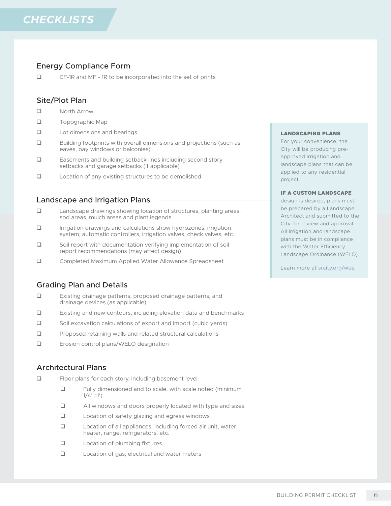## Energy Compliance Form

CF-1R and MF - 1R to be incorporated into the set of prints

## Site/Plot Plan

- **North Arrow**
- **Topographic Map**
- **Lot dimensions and bearings**
- $\Box$  Building footprints with overall dimensions and projections (such as eaves, bay windows or balconies)
- $\Box$  Easements and building setback lines including second story setbacks and garage setbacks (if applicable)
- Location of any existing structures to be demolished

## Landscape and Irrigation Plans

- Landscape drawings showing location of structures, planting areas, sod areas, mulch areas and plant legends
- **Interact and calculations show hydrozones, irrigation** system, automatic controllers, irrigation valves, check valves, etc.
- Soil report with documentation verifying implementation of soil report recommendations (may affect design)
- Completed Maximum Applied Water Allowance Spreadsheet

## Grading Plan and Details

- Existing drainage patterns, proposed drainage patterns, and drainage devices (as applicable)
- Existing and new contours, including elevation data and benchmarks
- Soil excavation calculations of export and import (cubic yards)
- $\Box$  Proposed retaining walls and related structural calculations
- Erosion control plans/WELO designation

## Architectural Plans

- □ Floor plans for each story, including basement level
	- **EXECUTE:** Fully dimensioned and to scale, with scale noted (minimum  $1/4$ "=1')
	- $\Box$  All windows and doors properly located with type and sizes
	- $\Box$  Location of safety glazing and egress windows
	- $\Box$  Location of all appliances, including forced air unit, water heater, range, refrigerators, etc.
	- □ Location of plumbing fixtures
	- □ Location of gas, electrical and water meters

#### LANDSCAPING PLANS

For your convenience, the City will be producing preapproved irrigation and landscape plans that can be applied to any residential project.

#### IF A CUSTOM LANDSCAPE

design is desired, plans must be prepared by a Landscape Architect and submitted to the City for review and approval. All irrigation and landscape plans must be in compliance with the Water Efficiency Landscape Ordinance (WELO).

Learn more at srcity.org/wue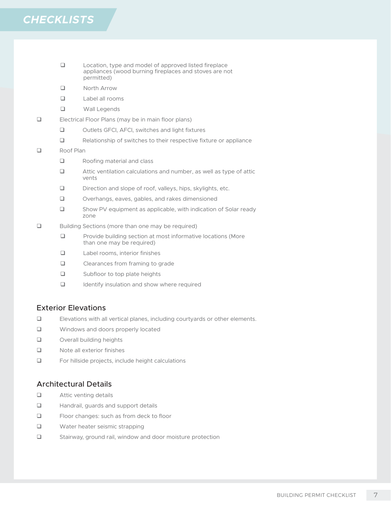- □ Location, type and model of approved listed fireplace appliances (wood burning fireplaces and stoves are not permitted)
- **North Arrow**
- Label all rooms
- **Q** Wall Legends
- Electrical Floor Plans (may be in main floor plans)
	- □ Outlets GFCI, AFCI, switches and light fixtures
	- Relationship of switches to their respective fixture or appliance

#### **Example 2** Roof Plan

- **Q** Roofing material and class
- $\Box$  Attic ventilation calculations and number, as well as type of attic vents
- Direction and slope of roof, valleys, hips, skylights, etc.
- Overhangs, eaves, gables, and rakes dimensioned
- □ Show PV equipment as applicable, with indication of Solar ready zone
- □ Building Sections (more than one may be required)
	- $\Box$  Provide building section at most informative locations (More than one may be required)
	- Label rooms, interior finishes
	- **Q** Clearances from framing to grade
	- □ Subfloor to top plate heights
	- Identify insulation and show where required

## Exterior Elevations

- Elevations with all vertical planes, including courtyards or other elements.
- **Q** Windows and doors properly located
- Overall building heights
- □ Note all exterior finishes
- For hillside projects, include height calculations

## Architectural Details

- **Q** Attic venting details
- **Handrail, guards and support details**
- □ Floor changes: such as from deck to floor
- Water heater seismic strapping
- Stairway, ground rail, window and door moisture protection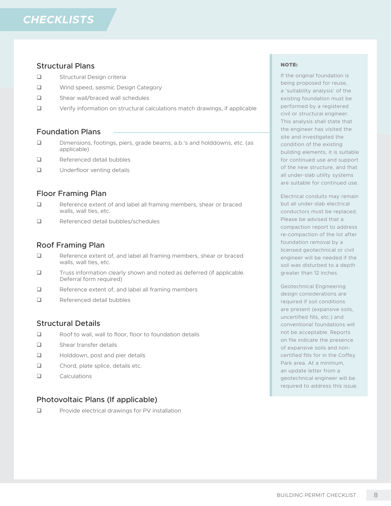## Structural Plans

- **Q** Structural Design criteria
- Wind speed, seismic Design Category
- □ Shear wall/braced wall schedules
- Verify information on structural calculations match drawings, if applicable

### Foundation Plans

- Dimensions, footings, piers, grade beams, a.b.'s and holddowns, etc. (as applicable)
- **E** Referenced detail bubbles
- **Underfloor venting details**

## Floor Framing Plan

- E Reference extent of and label all framing members, shear or braced walls, wall ties, etc.
- □ Referenced detail bubbles/schedules

## Roof Framing Plan

- □ Reference extent of, and label all framing members, shear or braced walls, wall ties, etc.
- $\Box$  Truss information clearly shown and noted as deferred (if applicable. Deferral form required)
- □ Reference extent of, and label all framing members
- **E** Referenced detail bubbles

### Structural Details

- $\Box$  Roof to wall, wall to floor, floor to foundation details
- Shear transfer details
- **Holddown, post and pier details**
- $\Box$  Chord, plate splice, details etc.
- Calculations

## Photovoltaic Plans (If applicable)

 $\Box$  Provide electrical drawings for PV installation

#### NOTE:

If the original foundation is being proposed for reuse, a 'suitability analysis' of the existing foundation must be performed by a registered civil or structural engineer. This analysis shall state that the engineer has visited the site and investigated the condition of the existing building elements, it is suitable for continued use and support of the new structure, and that all under-slab utility systems are suitable for continued use.

Electrical conduits may remain but all under-slab electrical conductors must be replaced. Please be advised that a compaction report to address re-compaction of the lot after foundation removal by a licensed geotechnical or civil engineer will be needed if the soil was disturbed to a depth greater than 12 inches.

Geotechnical Engineering design considerations are required if soil conditions are present (expansive soils, uncertified fills, etc.) and conventional foundations will not be acceptable. Reports on file indicate the presence of expansive soils and noncertified fills for in the Coffey Park area. At a minimum, an update letter from a geotechnical engineer will be required to address this issue.